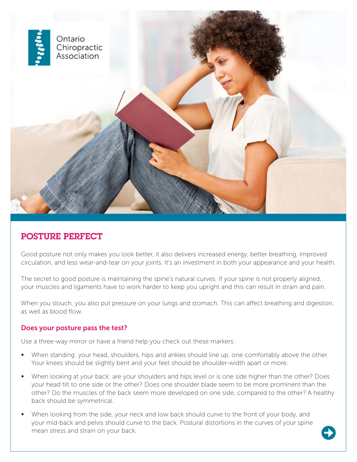

## POSTURE PERFECT

Good posture not only makes you look better, it also delivers increased energy, better breathing, improved circulation, and less wear-and-tear on your joints. It's an investment in both your appearance and your health.

The secret to good posture is maintaining the spine's natural curves. If your spine is not properly aligned, your muscles and ligaments have to work harder to keep you upright and this can result in strain and pain.

When you slouch, you also put pressure on your lungs and stomach. This can affect breathing and digestion, as well as blood flow.

## Does your posture pass the test?

Use a three-way mirror or have a friend help you check out these markers:

- When standing: your head, shoulders, hips and ankles should line up, one comfortably above the other. Your knees should be slightly bent and your feet should be shoulder-width apart or more.
- When looking at your back: are your shoulders and hips level or is one side higher than the other? Does your head tilt to one side or the other? Does one shoulder blade seem to be more prominent than the other? Do the muscles of the back seem more developed on one side, compared to the other? A healthy back should be symmetrical.
- When looking from the side, your neck and low back should curve to the front of your body, and your mid-back and pelvis should curve to the back. Postural distortions in the curves of your spine mean stress and strain on your back.